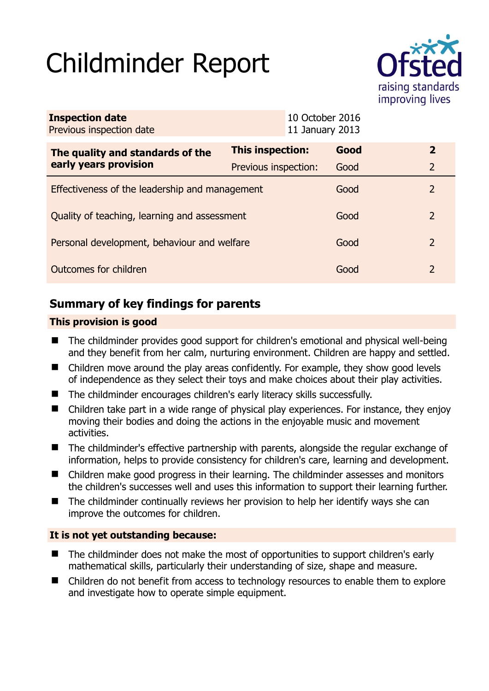# Childminder Report



| <b>Inspection date</b><br>Previous inspection date        |                      | 10 October 2016<br>11 January 2013 |      |               |
|-----------------------------------------------------------|----------------------|------------------------------------|------|---------------|
| The quality and standards of the<br>early years provision | This inspection:     |                                    | Good | $\mathbf{2}$  |
|                                                           | Previous inspection: |                                    | Good | 2             |
| Effectiveness of the leadership and management            |                      |                                    | Good | $\mathcal{P}$ |
| Quality of teaching, learning and assessment              |                      |                                    | Good | $\mathcal{P}$ |
| Personal development, behaviour and welfare               |                      |                                    | Good | 2             |
| Outcomes for children                                     |                      |                                    | Good | $\mathcal{P}$ |

# **Summary of key findings for parents**

## **This provision is good**

- The childminder provides good support for children's emotional and physical well-being and they benefit from her calm, nurturing environment. Children are happy and settled.
- Children move around the play areas confidently. For example, they show good levels of independence as they select their toys and make choices about their play activities.
- The childminder encourages children's early literacy skills successfully.
- Children take part in a wide range of physical play experiences. For instance, they enjoy moving their bodies and doing the actions in the enjoyable music and movement activities.
- The childminder's effective partnership with parents, alongside the regular exchange of information, helps to provide consistency for children's care, learning and development.
- Children make good progress in their learning. The childminder assesses and monitors the children's successes well and uses this information to support their learning further.
- The childminder continually reviews her provision to help her identify ways she can improve the outcomes for children.

## **It is not yet outstanding because:**

- The childminder does not make the most of opportunities to support children's early mathematical skills, particularly their understanding of size, shape and measure.
- Children do not benefit from access to technology resources to enable them to explore and investigate how to operate simple equipment.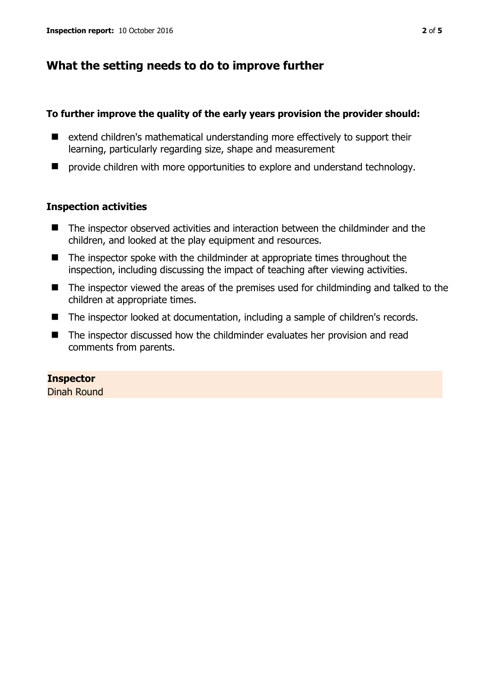# **What the setting needs to do to improve further**

#### **To further improve the quality of the early years provision the provider should:**

- extend children's mathematical understanding more effectively to support their learning, particularly regarding size, shape and measurement
- $\blacksquare$  provide children with more opportunities to explore and understand technology.

#### **Inspection activities**

- The inspector observed activities and interaction between the childminder and the children, and looked at the play equipment and resources.
- The inspector spoke with the childminder at appropriate times throughout the inspection, including discussing the impact of teaching after viewing activities.
- The inspector viewed the areas of the premises used for childminding and talked to the children at appropriate times.
- The inspector looked at documentation, including a sample of children's records.
- The inspector discussed how the childminder evaluates her provision and read comments from parents.

#### **Inspector**

Dinah Round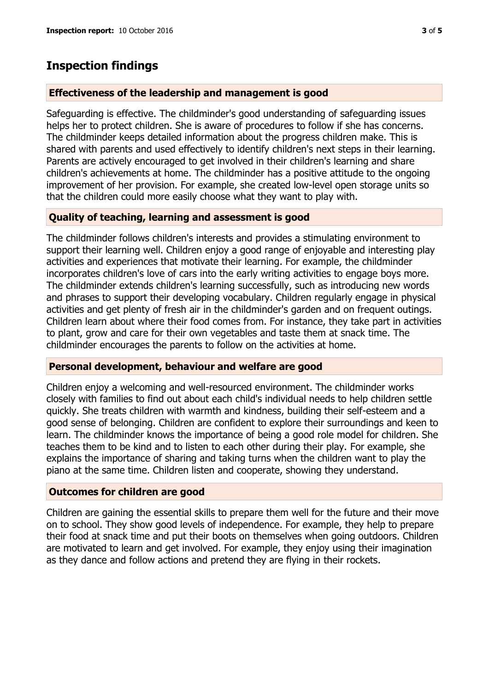# **Inspection findings**

### **Effectiveness of the leadership and management is good**

Safeguarding is effective. The childminder's good understanding of safeguarding issues helps her to protect children. She is aware of procedures to follow if she has concerns. The childminder keeps detailed information about the progress children make. This is shared with parents and used effectively to identify children's next steps in their learning. Parents are actively encouraged to get involved in their children's learning and share children's achievements at home. The childminder has a positive attitude to the ongoing improvement of her provision. For example, she created low-level open storage units so that the children could more easily choose what they want to play with.

## **Quality of teaching, learning and assessment is good**

The childminder follows children's interests and provides a stimulating environment to support their learning well. Children enjoy a good range of enjoyable and interesting play activities and experiences that motivate their learning. For example, the childminder incorporates children's love of cars into the early writing activities to engage boys more. The childminder extends children's learning successfully, such as introducing new words and phrases to support their developing vocabulary. Children regularly engage in physical activities and get plenty of fresh air in the childminder's garden and on frequent outings. Children learn about where their food comes from. For instance, they take part in activities to plant, grow and care for their own vegetables and taste them at snack time. The childminder encourages the parents to follow on the activities at home.

#### **Personal development, behaviour and welfare are good**

Children enjoy a welcoming and well-resourced environment. The childminder works closely with families to find out about each child's individual needs to help children settle quickly. She treats children with warmth and kindness, building their self-esteem and a good sense of belonging. Children are confident to explore their surroundings and keen to learn. The childminder knows the importance of being a good role model for children. She teaches them to be kind and to listen to each other during their play. For example, she explains the importance of sharing and taking turns when the children want to play the piano at the same time. Children listen and cooperate, showing they understand.

#### **Outcomes for children are good**

Children are gaining the essential skills to prepare them well for the future and their move on to school. They show good levels of independence. For example, they help to prepare their food at snack time and put their boots on themselves when going outdoors. Children are motivated to learn and get involved. For example, they enjoy using their imagination as they dance and follow actions and pretend they are flying in their rockets.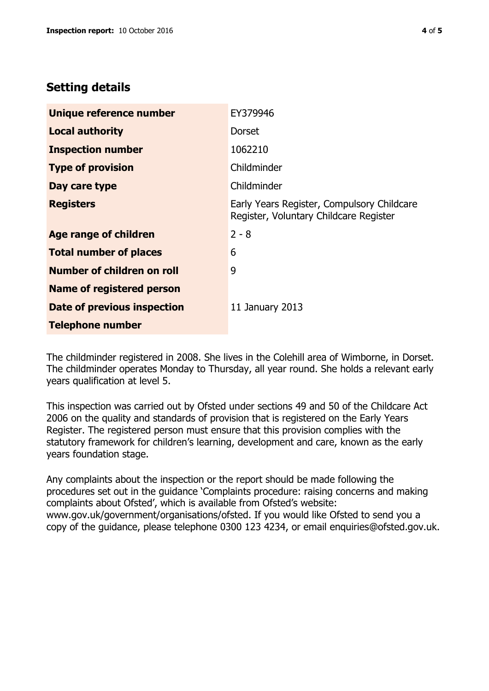# **Setting details**

| Unique reference number           | EY379946                                                                             |  |
|-----------------------------------|--------------------------------------------------------------------------------------|--|
| <b>Local authority</b>            | <b>Dorset</b>                                                                        |  |
| <b>Inspection number</b>          | 1062210                                                                              |  |
| <b>Type of provision</b>          | Childminder                                                                          |  |
| Day care type                     | Childminder                                                                          |  |
| <b>Registers</b>                  | Early Years Register, Compulsory Childcare<br>Register, Voluntary Childcare Register |  |
| <b>Age range of children</b>      | $2 - 8$                                                                              |  |
| <b>Total number of places</b>     | 6                                                                                    |  |
| <b>Number of children on roll</b> | 9                                                                                    |  |
| Name of registered person         |                                                                                      |  |
| Date of previous inspection       | 11 January 2013                                                                      |  |
| <b>Telephone number</b>           |                                                                                      |  |

The childminder registered in 2008. She lives in the Colehill area of Wimborne, in Dorset. The childminder operates Monday to Thursday, all year round. She holds a relevant early years qualification at level 5.

This inspection was carried out by Ofsted under sections 49 and 50 of the Childcare Act 2006 on the quality and standards of provision that is registered on the Early Years Register. The registered person must ensure that this provision complies with the statutory framework for children's learning, development and care, known as the early years foundation stage.

Any complaints about the inspection or the report should be made following the procedures set out in the guidance 'Complaints procedure: raising concerns and making complaints about Ofsted', which is available from Ofsted's website: www.gov.uk/government/organisations/ofsted. If you would like Ofsted to send you a copy of the guidance, please telephone 0300 123 4234, or email enquiries@ofsted.gov.uk.